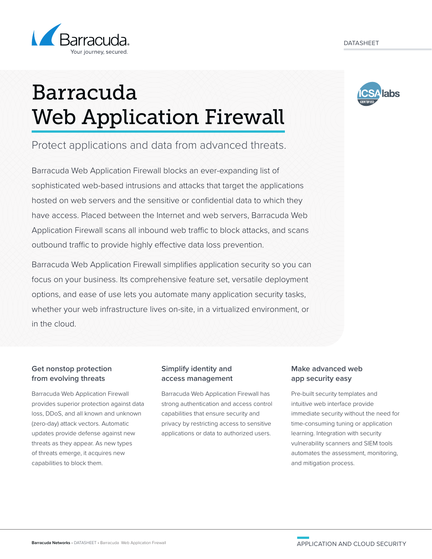

# Barracuda Web Application Firewall

Protect applications and data from advanced threats.

Barracuda Web Application Firewall blocks an ever-expanding list of sophisticated web-based intrusions and attacks that target the applications hosted on web servers and the sensitive or confidential data to which they have access. Placed between the Internet and web servers, Barracuda Web Application Firewall scans all inbound web traffic to block attacks, and scans outbound traffic to provide highly effective data loss prevention.

Barracuda Web Application Firewall simplifies application security so you can focus on your business. Its comprehensive feature set, versatile deployment options, and ease of use lets you automate many application security tasks, whether your web infrastructure lives on-site, in a virtualized environment, or in the cloud.

# **Get nonstop protection from evolving threats**

Barracuda Web Application Firewall provides superior protection against data loss, DDoS, and all known and unknown (zero-day) attack vectors. Automatic updates provide defense against new threats as they appear. As new types of threats emerge, it acquires new capabilities to block them.

## **Simplify identity and access management**

Barracuda Web Application Firewall has strong authentication and access control capabilities that ensure security and privacy by restricting access to sensitive applications or data to authorized users.

# **Make advanced web app security easy**

Pre-built security templates and intuitive web interface provide immediate security without the need for time-consuming tuning or application learning. Integration with security vulnerability scanners and SIEM tools automates the assessment, monitoring, and mitigation process.

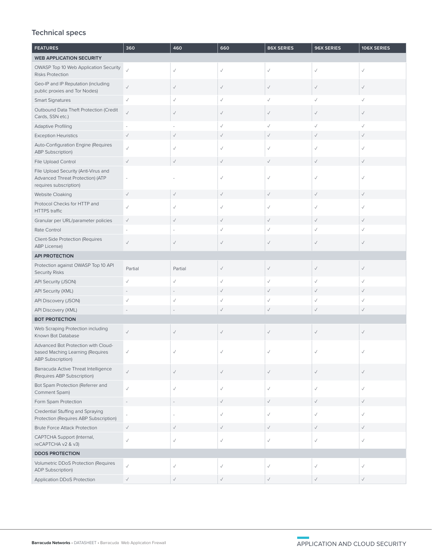# **Technical specs**

| <b>FEATURES</b>                                                                                    | 360          | 460          | 660          | 86X SERIES   | 96X SERIES   | 106X SERIES  |  |
|----------------------------------------------------------------------------------------------------|--------------|--------------|--------------|--------------|--------------|--------------|--|
| <b>WEB APPLICATION SECURITY</b>                                                                    |              |              |              |              |              |              |  |
| OWASP Top 10 Web Application Security<br><b>Risks Protection</b>                                   | $\checkmark$ | $\checkmark$ | $\checkmark$ | $\checkmark$ | $\checkmark$ | $\checkmark$ |  |
| Geo-IP and IP Reputation (including<br>public proxies and Tor Nodes)                               | $\checkmark$ | $\checkmark$ | $\checkmark$ | $\checkmark$ | $\checkmark$ | $\checkmark$ |  |
| <b>Smart Signatures</b>                                                                            | $\checkmark$ | $\checkmark$ | $\checkmark$ | $\checkmark$ | $\checkmark$ | $\checkmark$ |  |
| Outbound Data Theft Protection (Credit<br>Cards, SSN etc.)                                         | $\checkmark$ | $\checkmark$ | $\checkmark$ | $\checkmark$ | $\checkmark$ | $\checkmark$ |  |
| <b>Adaptive Profiling</b>                                                                          |              |              | $\checkmark$ | $\checkmark$ |              | $\checkmark$ |  |
| <b>Exception Heuristics</b>                                                                        | $\checkmark$ | $\checkmark$ | $\checkmark$ | $\checkmark$ | $\checkmark$ | $\checkmark$ |  |
| Auto-Configuration Engine (Requires<br><b>ABP Subscription)</b>                                    | $\checkmark$ | $\checkmark$ | $\checkmark$ | $\checkmark$ | $\checkmark$ | ✓            |  |
| File Upload Control                                                                                | $\checkmark$ | $\checkmark$ | $\checkmark$ | $\checkmark$ | $\checkmark$ | $\checkmark$ |  |
| File Upload Security (Anti-Virus and<br>Advanced Threat Protection) (ATP<br>requires subscription) |              |              | $\checkmark$ | $\checkmark$ | $\checkmark$ | $\checkmark$ |  |
| Website Cloaking                                                                                   | $\checkmark$ | $\checkmark$ | $\checkmark$ | $\checkmark$ | $\checkmark$ | $\checkmark$ |  |
| Protocol Checks for HTTP and<br><b>HTTPS</b> traffic                                               | $\checkmark$ | $\checkmark$ | $\checkmark$ | $\checkmark$ | $\checkmark$ | ✓            |  |
| Granular per URL/parameter policies                                                                | $\checkmark$ | $\checkmark$ | $\checkmark$ | $\checkmark$ | $\checkmark$ | $\checkmark$ |  |
| Rate Control                                                                                       |              | ÷.           | $\checkmark$ | $\checkmark$ | $\checkmark$ | $\checkmark$ |  |
| Client-Side Protection (Requires<br>ABP License)                                                   | $\checkmark$ | $\checkmark$ | $\checkmark$ | $\checkmark$ | $\checkmark$ | $\checkmark$ |  |
| <b>API PROTECTION</b>                                                                              |              |              |              |              |              |              |  |
| Protection against OWASP Top 10 API<br><b>Security Risks</b>                                       | Partial      | Partial      | $\checkmark$ | $\checkmark$ | $\checkmark$ | $\checkmark$ |  |
| API Security (JSON)                                                                                | $\checkmark$ | $\checkmark$ | $\checkmark$ | $\checkmark$ | $\checkmark$ | $\checkmark$ |  |
| <b>API Security (XML)</b>                                                                          |              |              | $\checkmark$ | $\checkmark$ | $\checkmark$ | $\checkmark$ |  |
| API Discovery (JSON)                                                                               | $\checkmark$ | $\checkmark$ | $\checkmark$ | $\checkmark$ | $\checkmark$ | $\checkmark$ |  |
| API Discovery (XML)                                                                                |              | $\sim$       | $\checkmark$ | $\checkmark$ | $\checkmark$ | $\checkmark$ |  |
| <b>BOT PROTECTION</b>                                                                              |              |              |              |              |              |              |  |
| Web Scraping Protection including<br>Known Bot Database                                            | $\checkmark$ | $\checkmark$ | $\checkmark$ | $\checkmark$ | $\checkmark$ | ✓            |  |
| Advanced Bot Protection with Cloud-<br>based Maching Learning (Requires<br>ABP Subscription)       | ✓            |              |              |              |              |              |  |
| Barracuda Active Threat Intelligence<br>(Requires ABP Subscription)                                | $\checkmark$ | $\checkmark$ | $\checkmark$ | $\checkmark$ | $\checkmark$ | $\checkmark$ |  |
| Bot Spam Protection (Referrer and<br>Comment Spam)                                                 | $\checkmark$ | $\checkmark$ | $\checkmark$ | $\checkmark$ | $\checkmark$ | $\checkmark$ |  |
| Form Spam Protection                                                                               |              |              | $\checkmark$ | $\checkmark$ | $\checkmark$ | $\checkmark$ |  |
| Credential Stuffing and Spraying<br>Protection (Requires ABP Subscription)                         |              |              | $\checkmark$ | $\checkmark$ | $\checkmark$ | $\checkmark$ |  |
| <b>Brute Force Attack Protection</b>                                                               | $\checkmark$ | $\checkmark$ | $\checkmark$ | $\checkmark$ | $\checkmark$ | $\checkmark$ |  |
| CAPTCHA Support (Internal,<br>reCAPTCHA v2 & v3)                                                   | $\checkmark$ | $\checkmark$ | $\checkmark$ | $\checkmark$ | $\checkmark$ | $\checkmark$ |  |
| <b>DDOS PROTECTION</b>                                                                             |              |              |              |              |              |              |  |
| Volumetric DDoS Protection (Requires<br>ADP Subscription)                                          | $\checkmark$ | $\checkmark$ | $\checkmark$ | $\checkmark$ | $\checkmark$ | $\checkmark$ |  |
| Application DDoS Protection                                                                        | $\checkmark$ | $\checkmark$ | $\checkmark$ | $\checkmark$ | $\checkmark$ | $\checkmark$ |  |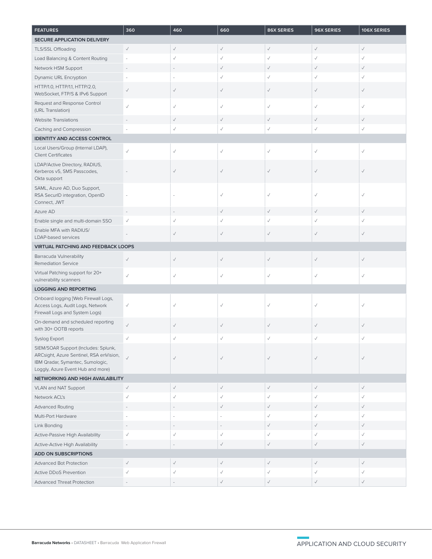| <b>FEATURES</b>                                                                                                                                          | 360                      | 460                      | 660          | 86X SERIES   | 96X SERIES   | 106X SERIES  |  |  |
|----------------------------------------------------------------------------------------------------------------------------------------------------------|--------------------------|--------------------------|--------------|--------------|--------------|--------------|--|--|
| SECURE APPLICATION DELIVERY                                                                                                                              |                          |                          |              |              |              |              |  |  |
| TLS/SSL Offloading                                                                                                                                       | $\checkmark$             | $\checkmark$             | $\checkmark$ | $\checkmark$ | $\checkmark$ | $\checkmark$ |  |  |
| Load Balancing & Content Routing                                                                                                                         |                          | $\checkmark$             | $\checkmark$ | $\checkmark$ | $\checkmark$ | $\checkmark$ |  |  |
| Network HSM Support                                                                                                                                      |                          |                          | $\checkmark$ | $\checkmark$ | $\checkmark$ | $\checkmark$ |  |  |
| Dynamic URL Encryption                                                                                                                                   |                          | L.                       | $\checkmark$ | $\checkmark$ | $\checkmark$ | $\checkmark$ |  |  |
| HTTP/1.0, HTTP/1.1, HTTP/2.0,<br>WebSocket, FTP/S & IPv6 Support                                                                                         | $\checkmark$             | $\checkmark$             | $\checkmark$ | $\checkmark$ | $\checkmark$ | $\checkmark$ |  |  |
| Request and Response Control<br>(URL Translation)                                                                                                        | $\checkmark$             | $\checkmark$             | $\checkmark$ | $\checkmark$ | $\checkmark$ | $\checkmark$ |  |  |
| <b>Website Translations</b>                                                                                                                              |                          | $\checkmark$             | $\checkmark$ | $\checkmark$ | $\checkmark$ | $\checkmark$ |  |  |
| Caching and Compression                                                                                                                                  |                          | $\checkmark$             | $\checkmark$ | $\checkmark$ | $\checkmark$ | $\checkmark$ |  |  |
| <b>IDENTITY AND ACCESS CONTROL</b>                                                                                                                       |                          |                          |              |              |              |              |  |  |
| Local Users/Group (Internal LDAP),<br><b>Client Certificates</b>                                                                                         | $\checkmark$             | $\checkmark$             | $\checkmark$ | $\checkmark$ | $\checkmark$ | $\checkmark$ |  |  |
| LDAP/Active Directory, RADIUS,<br>Kerberos v5, SMS Passcodes,<br>Okta support                                                                            |                          | $\checkmark$             | $\checkmark$ | $\checkmark$ | $\checkmark$ | $\checkmark$ |  |  |
| SAML, Azure AD, Duo Support,<br>RSA SecurID integration, OpenID<br>Connect, JWT                                                                          |                          |                          | $\checkmark$ | $\checkmark$ | $\checkmark$ | $\checkmark$ |  |  |
| Azure AD                                                                                                                                                 | $\sim$                   | $\bar{\gamma}$           | $\checkmark$ | $\checkmark$ | $\checkmark$ | $\checkmark$ |  |  |
| Enable single and multi-domain SSO                                                                                                                       | $\checkmark$             | $\checkmark$             | $\checkmark$ | $\checkmark$ | $\checkmark$ | $\checkmark$ |  |  |
| Enable MFA with RADIUS/<br>LDAP-based services                                                                                                           |                          | $\checkmark$             | $\checkmark$ | $\checkmark$ | $\checkmark$ | $\checkmark$ |  |  |
| VIRTUAL PATCHING AND FEEDBACK LOOPS                                                                                                                      |                          |                          |              |              |              |              |  |  |
| Barracuda Vulnerability<br><b>Remediation Service</b>                                                                                                    | $\checkmark$             | $\checkmark$             | $\checkmark$ | $\checkmark$ | $\checkmark$ | $\checkmark$ |  |  |
| Virtual Patching support for 20+<br>vulnerability scanners                                                                                               | $\checkmark$             | $\checkmark$             | $\checkmark$ | $\checkmark$ | $\checkmark$ | $\checkmark$ |  |  |
| <b>LOGGING AND REPORTING</b>                                                                                                                             |                          |                          |              |              |              |              |  |  |
| Onboard logging [Web Firewall Logs,<br>Access Logs, Audit Logs, Network<br>Firewall Logs and System Logs)                                                | $\checkmark$             | $\checkmark$             | $\checkmark$ | $\checkmark$ | $\checkmark$ | $\checkmark$ |  |  |
| On-demand and scheduled reporting<br>with 30+ OOTB reports                                                                                               | $\checkmark$             | $\checkmark$             | $\checkmark$ | $\checkmark$ | $\checkmark$ | $\checkmark$ |  |  |
| Syslog Export                                                                                                                                            | $\checkmark$             | $\checkmark$             | $\checkmark$ | $\checkmark$ | $\checkmark$ | $\checkmark$ |  |  |
| SIEM/SOAR Support (Includes: Splunk,<br>ARCsight, Azure Sentinel, RSA enVision,<br>IBM Qradar, Symantec, Sumologic,<br>Loggly, Azure Event Hub and more) | $\checkmark$             | $\checkmark$             | $\checkmark$ | $\checkmark$ | $\checkmark$ | $\checkmark$ |  |  |
| NETWORKING AND HIGH AVAILABILITY                                                                                                                         |                          |                          |              |              |              |              |  |  |
| VLAN and NAT Support                                                                                                                                     | $\checkmark$             | $\checkmark$             | $\checkmark$ | $\checkmark$ | $\checkmark$ | $\checkmark$ |  |  |
| Network ACL's                                                                                                                                            | $\checkmark$             | $\checkmark$             | $\checkmark$ | $\checkmark$ | $\checkmark$ | $\checkmark$ |  |  |
| <b>Advanced Routing</b>                                                                                                                                  |                          |                          | $\checkmark$ | $\checkmark$ | $\checkmark$ | $\checkmark$ |  |  |
| Multi-Port Hardware                                                                                                                                      |                          |                          |              | $\checkmark$ | $\checkmark$ | $\checkmark$ |  |  |
| Link Bonding                                                                                                                                             |                          |                          |              | $\checkmark$ | $\checkmark$ | $\checkmark$ |  |  |
| Active-Passive High Availability                                                                                                                         | $\checkmark$             | $\checkmark$             | $\checkmark$ | $\checkmark$ | $\checkmark$ | $\checkmark$ |  |  |
| Active-Active High Availability                                                                                                                          |                          | $\overline{\phantom{a}}$ | $\checkmark$ | $\checkmark$ | $\checkmark$ | $\checkmark$ |  |  |
| ADD ON SUBSCRIPTIONS                                                                                                                                     |                          |                          |              |              |              |              |  |  |
| Advanced Bot Protection                                                                                                                                  | $\checkmark$             | $\checkmark$             | $\checkmark$ | $\checkmark$ | $\checkmark$ | $\checkmark$ |  |  |
| Active DDoS Prevention                                                                                                                                   | $\checkmark$             | $\checkmark$             | $\checkmark$ | $\checkmark$ | $\checkmark$ | $\checkmark$ |  |  |
| Advanced Threat Protection                                                                                                                               | $\overline{\phantom{a}}$ | ÷.                       | $\checkmark$ | $\checkmark$ | $\checkmark$ | $\checkmark$ |  |  |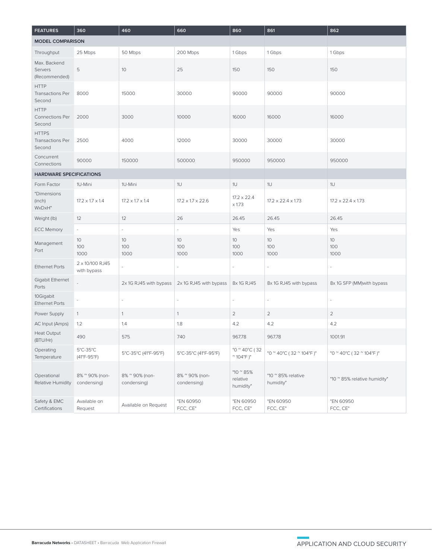| <b>FEATURES</b>                            | 360                            | 460                           | 660                           | 860                                 | 861                             | 862                            |
|--------------------------------------------|--------------------------------|-------------------------------|-------------------------------|-------------------------------------|---------------------------------|--------------------------------|
| <b>MODEL COMPARISON</b>                    |                                |                               |                               |                                     |                                 |                                |
| Throughput                                 | 25 Mbps                        | 50 Mbps                       | 200 Mbps                      | 1 Gbps                              | 1 Gbps                          | 1 Gbps                         |
| Max. Backend<br>Servers<br>(Recommended)   | 5                              | 10                            | 25                            | 150                                 | 150                             | 150                            |
| <b>HTTP</b><br>Transactions Per<br>Second  | 8000                           | 15000                         | 30000                         | 90000                               | 90000                           | 90000                          |
| <b>HTTP</b><br>Connections Per<br>Second   | 2000                           | 3000                          | 10000                         | 16000                               | 16000                           | 16000                          |
| <b>HTTPS</b><br>Transactions Per<br>Second | 2500                           | 4000                          | 12000                         | 30000                               | 30000                           | 30000                          |
| Concurrent<br>Connections                  | 90000                          | 150000                        | 500000                        | 950000                              | 950000                          | 950000                         |
| <b>HARDWARE SPECIFICATIONS</b>             |                                |                               |                               |                                     |                                 |                                |
| Form Factor                                | 1U-Mini                        | 1U-Mini                       | $1\cup$                       | 1U                                  | 1U                              | 1U                             |
| "Dimensions<br>(inch)<br>WxDxH"            | $17.2 \times 1.7 \times 1.4$   | $17.2 \times 1.7 \times 1.4$  | $17.2 \times 1.7 \times 22.6$ | $17.2 \times 22.4$<br>$\times$ 1.73 | $17.2 \times 22.4 \times 1.73$  | $17.2 \times 22.4 \times 1.73$ |
| Weight (lb)                                | 12                             | 12                            | 26                            | 26.45                               | 26.45                           | 26.45                          |
| <b>ECC Memory</b>                          | $\equiv$                       | ÷                             | $\bar{\phantom{a}}$           | Yes                                 | Yes                             | Yes                            |
| Management<br>Port                         | 10<br>100<br>1000              | 10<br>100<br>1000             | 10<br>100<br>1000             | 10<br>100<br>1000                   | 10<br>100<br>1000               | 10 <sup>°</sup><br>100<br>1000 |
| <b>Ethernet Ports</b>                      | 2 x 10/100 RJ45<br>with bypass | $\overline{a}$                | ÷,                            | $\overline{a}$                      | $\overline{\phantom{a}}$        |                                |
| Gigabit Ethernet<br>Ports                  |                                | 2x 1G RJ45 with bypass        | 2x 1G RJ45 with bypass        | 8x 1G RJ45                          | 8x 1G RJ45 with bypass          | 8x 1G SFP (MM) with bypass     |
| 10Gigabit<br><b>Ethernet Ports</b>         |                                |                               |                               | ÷                                   | ÷,                              |                                |
| Power Supply                               | $\mathbf{1}$                   | $\mathbf{1}$                  | $\mathbf{1}$                  | $\overline{2}$                      | $\overline{2}$                  | $\overline{2}$                 |
| AC Input (Amps)                            | 1.2                            | 1.4                           | 1.8                           | 4.2                                 | 4.2                             | 4.2                            |
| Heat Output<br>(BTU/Hr)                    | 490                            | 575                           | 740                           | 967.78                              | 967.78                          | 1001.91                        |
| Operating<br>Temperature                   | 5°C-35°C<br>(41°F-95°F)        | 5°C-35°C (41°F-95°F)          | 5°C-35°C (41°F-95°F)          | "0 ~ 40°C (32<br>$^{\sim}$ 104°F)"  | "0 ~ 40°C (32 ~ 104°F)"         | "0 ~ 40°C (32 ~ 104°F)"        |
| Operational<br>Relative Humidity           | 8% ~ 90% (non-<br>condensing)  | 8% ~ 90% (non-<br>condensing) | 8% ~ 90% (non-<br>condensing) | "10 ~ 85%<br>relative<br>humidity"  | "10 ~ 85% relative<br>humidity" | "10 ~ 85% relative humidity"   |
| Safety & EMC<br>Certifications             | Available on<br>Request        | Available on Request          | "EN 60950<br>FCC, CE"         | "EN 60950<br>FCC, CE"               | "EN 60950<br>FCC, CE"           | "EN 60950<br>FCC, CE"          |